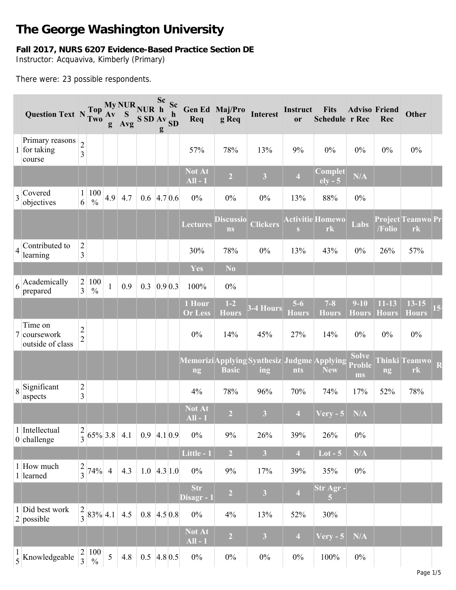## **The George Washington University**

## **Fall 2017, NURS 6207 Evidence-Based Practice Section DE** Instructor: Acquaviva, Kimberly (Primary)

There were: 23 possible respondents.

|                | Question Text N Two                         |                                  |                      | $A\mathbf{v}$<br>g | S<br>Avg | My NUR NUR h<br>SSDAV <sub>SD</sub> | <b>Sc</b><br>g | Sc<br>$\mathbf h$ | Req                        | Gen Ed Maj/Pro<br>g Req       | <b>Interest</b>         | Instruct<br>or          | <b>Fits</b><br>Schedule r Rec                            | <b>Adviso Friend</b>                | Rec                     | <b>Other</b>              |
|----------------|---------------------------------------------|----------------------------------|----------------------|--------------------|----------|-------------------------------------|----------------|-------------------|----------------------------|-------------------------------|-------------------------|-------------------------|----------------------------------------------------------|-------------------------------------|-------------------------|---------------------------|
|                | Primary reasons<br>1 for taking<br>course   | $\overline{2}$<br>$\overline{3}$ |                      |                    |          |                                     |                |                   | 57%                        | 78%                           | 13%                     | 9%                      | $0\%$                                                    | 0%                                  | $0\%$                   | $0\%$                     |
|                |                                             |                                  |                      |                    |          |                                     |                |                   | <b>Not At</b><br>$All - 1$ | $\overline{2}$                | $\overline{\mathbf{3}}$ | $\overline{4}$          | Complet<br>$ely - 5$                                     | N/A                                 |                         |                           |
|                | $\frac{1}{3}$ Covered<br>objectives         | $\mathbf{1}$<br>6 <sup>1</sup>   | 100<br>$\frac{0}{0}$ | 4.9                | 4.7      | $0.6$ 4.7 0.6                       |                |                   | $0\%$                      | $0\%$                         | $0\%$                   | 13%                     | 88%                                                      | $0\%$                               |                         |                           |
|                |                                             |                                  |                      |                    |          |                                     |                |                   | <b>Lectures</b>            | <b>Discussio</b><br><b>ns</b> | <b>Clickers</b>         | S                       | <b>Activitie Homewo</b><br>rk                            | Labs                                | /Folio                  | Project Teamwo Pr<br>rk   |
| $\overline{4}$ | Contributed to<br>learning                  | $\overline{c}$<br>$\overline{3}$ |                      |                    |          |                                     |                |                   | 30%                        | 78%                           | $0\%$                   | 13%                     | 43%                                                      | 0%                                  | 26%                     | 57%                       |
|                |                                             |                                  |                      |                    |          |                                     |                |                   | Yes                        | N <sub>o</sub>                |                         |                         |                                                          |                                     |                         |                           |
| 6              | Academically<br>prepared                    | $\overline{c}$<br>$\overline{3}$ | 100<br>$\frac{0}{0}$ | $\mathbf{1}$       | 0.9      | 0.3                                 | 0.90.3         |                   | 100%                       | $0\%$                         |                         |                         |                                                          |                                     |                         |                           |
|                |                                             |                                  |                      |                    |          |                                     |                |                   | 1 Hour<br><b>Or Less</b>   | $1-2$<br><b>Hours</b>         | 3-4 Hours               | $5-6$<br><b>Hours</b>   | $7 - 8$<br><b>Hours</b>                                  | $9-10$<br><b>Hours</b>              | $11-13$<br><b>Hours</b> | $13 - 15$<br><b>Hours</b> |
|                | Time on<br>7 coursework<br>outside of class | $\overline{c}$<br>$\overline{2}$ |                      |                    |          |                                     |                |                   | $0\%$                      | 14%                           | 45%                     | 27%                     | 14%                                                      | 0%                                  | $0\%$                   | $0\%$                     |
|                |                                             |                                  |                      |                    |          |                                     |                |                   | ng                         | <b>Basic</b>                  | ing                     | <b>nts</b>              | MemoriziApplying Synthesiz Judgme Applying<br><b>New</b> | <b>Solve</b><br><b>Proble</b><br>ms | ng                      | Thinki Teamwo<br>rk       |
|                | $8$ Significant<br>aspects                  | $\sqrt{2}$<br>$\overline{3}$     |                      |                    |          |                                     |                |                   | 4%                         | 78%                           | 96%                     | 70%                     | 74%                                                      | 17%                                 | 52%                     | 78%                       |
|                |                                             |                                  |                      |                    |          |                                     |                |                   | <b>Not At</b><br>$All - 1$ | $\overline{2}$                | $\overline{\mathbf{3}}$ | $\overline{4}$          | <b>Very - 5</b>                                          | N/A                                 |                         |                           |
|                | 1 Intellectual<br>$0$ challenge             | $\frac{2}{3}$                    | $ 65\% 3.8 4.1$      |                    |          | $0.9$ 4.1 0.9                       |                |                   | $0\%$                      | $9\%$                         | 26%                     | 39%                     | 26%                                                      | $0\%$                               |                         |                           |
|                |                                             |                                  |                      |                    |          |                                     |                |                   | Little - 1                 | $\overline{2}$                | $\overline{\mathbf{3}}$ | $\overline{4}$          | $Lot - 5$                                                | N/A                                 |                         |                           |
|                | 1 How much<br>1 learned                     | $\frac{2}{3}$                    | 74% 4                |                    | 4.3      | $1.0$ 4.3 1.0                       |                |                   | $0\%$                      | $9\%$                         | 17%                     | 39%                     | 35%                                                      | $0\%$                               |                         |                           |
|                |                                             |                                  |                      |                    |          |                                     |                |                   | <b>Str</b><br>Disagr - 1   | $\overline{2}$                | $\overline{\mathbf{3}}$ | $\overline{\mathbf{4}}$ | Str Agr-<br>5                                            |                                     |                         |                           |
|                | 1 Did best work<br>$2$ possible             | $\frac{2}{3}$                    | $83\%$ 4.1           |                    | 4.5      | $0.8$ 4.5 0.8                       |                |                   | $0\%$                      | 4%                            | 13%                     | 52%                     | 30%                                                      |                                     |                         |                           |
|                |                                             |                                  |                      |                    |          |                                     |                |                   | Not At<br>$All - 1$        | $\overline{2}$                | $\overline{\mathbf{3}}$ | $\overline{\mathbf{4}}$ | $Very - 5$                                               | N/A                                 |                         |                           |
|                | $\frac{1}{5}$ Knowledgeable                 | $rac{2}{3}$                      | $\frac{100}{\%}$     | 5                  | 4.8      | 0.5                                 | $4.8\,0.5$     |                   | $0\%$                      | $0\%$                         | $0\%$                   | $0\%$                   | 100%                                                     | $0\%$                               |                         |                           |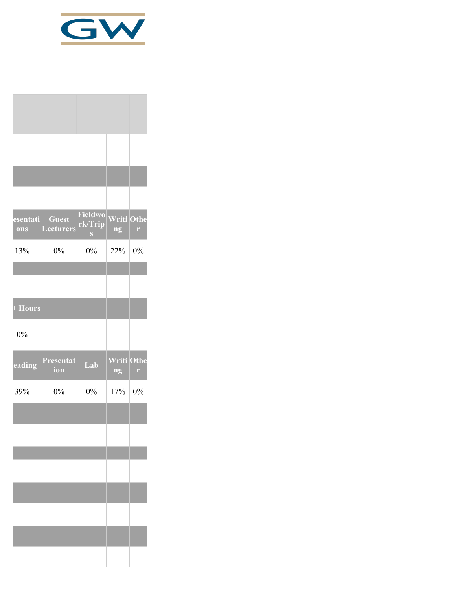

| <b>Guest</b><br>Lecturers | Fieldwo<br>rk/Trip | ng           | $\Gamma$          |
|---------------------------|--------------------|--------------|-------------------|
| $0\%$                     | 0%                 | 22%          | 0%                |
|                           |                    |              |                   |
|                           |                    |              |                   |
|                           |                    |              |                   |
| Presentat<br>ion          | Lab                | Writi<br>ng  | Othe<br>r         |
| $0\%$                     | 0%                 | 17%          | 0%                |
|                           |                    |              |                   |
|                           |                    |              |                   |
|                           |                    |              |                   |
|                           |                    |              |                   |
|                           |                    |              |                   |
|                           |                    |              |                   |
|                           |                    |              |                   |
|                           |                    | $\mathbf{S}$ | <b>Writi Othe</b> |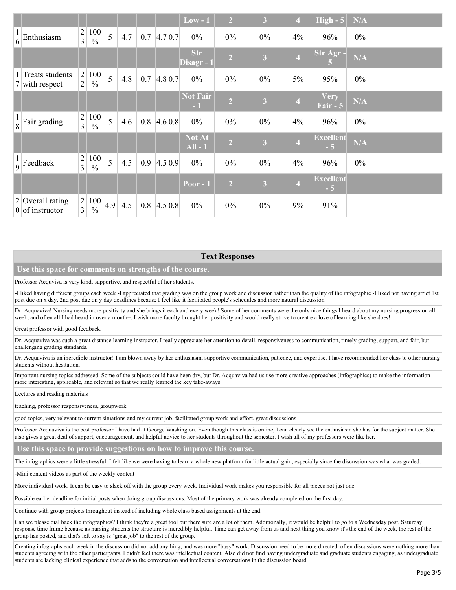|                   |                                       |                                  |                      |     |     |     |         | $Low - 1$                | $\overline{2}$ | $\overline{3}$          | $\overline{4}$ | High $-5$                   | N/A   |  |
|-------------------|---------------------------------------|----------------------------------|----------------------|-----|-----|-----|---------|--------------------------|----------------|-------------------------|----------------|-----------------------------|-------|--|
| $\mathbf{1}$<br>6 | Enthusiasm                            | $\overline{c}$<br>3              | 100<br>$\frac{0}{0}$ | 5   | 4.7 | 0.7 | 4.70.7  | $0\%$                    | $0\%$          | $0\%$                   | 4%             | 96%                         | $0\%$ |  |
|                   |                                       |                                  |                      |     |     |     |         | <b>Str</b><br>Disagr - 1 | $\overline{2}$ | $\overline{3}$          | $\overline{4}$ | Str Agr -<br>$\overline{5}$ | N/A   |  |
|                   | 1 Treats students<br>7 with respect   | $\overline{2}$<br>$\overline{2}$ | 100<br>$\frac{0}{0}$ | 5   | 4.8 | 0.7 | 4.80.7  | $0\%$                    | $0\%$          | $0\%$                   | 5%             | 95%                         | $0\%$ |  |
|                   |                                       |                                  |                      |     |     |     |         | <b>Not Fair</b><br>$-1$  | $\overline{2}$ | $\overline{\mathbf{3}}$ | $\overline{4}$ | <b>Very</b><br>Fair $-5$    | N/A   |  |
| $\overline{8}$    | Fair grading                          | $\overline{c}$<br>$\overline{3}$ | 100<br>$\frac{0}{0}$ | 5   | 4.6 | 0.8 | 4.60.8  | $0\%$                    | $0\%$          | $0\%$                   | 4%             | 96%                         | $0\%$ |  |
|                   |                                       |                                  |                      |     |     |     |         | Not At<br>$All - 1$      | $\overline{2}$ | $\overline{\mathbf{3}}$ | $\overline{4}$ | <b>Excellent</b><br>$-5$    | N/A   |  |
| $\mathbf{1}$      | $\int_{9}^{1}$ Feedback               | $\overline{c}$<br>$\overline{3}$ | 100<br>$\frac{0}{0}$ | 5   | 4.5 | 0.9 | 4.5 0.9 | $0\%$                    | $0\%$          | $0\%$                   | 4%             | 96%                         | $0\%$ |  |
|                   |                                       |                                  |                      |     |     |     |         | Poor - $1$               | $\overline{2}$ | $\overline{\mathbf{3}}$ | $\overline{4}$ | <b>Excellent</b><br>$-5$    |       |  |
|                   | 2 Overall rating<br>$0$ of instructor | $\overline{2}$<br>$\overline{3}$ | 100<br>$\frac{0}{0}$ | 4.9 | 4.5 | 0.8 | 4.5 0.8 | $0\%$                    | $0\%$          | $0\%$                   | 9%             | 91%                         |       |  |

## **Text Responses**

## **Use this space for comments on strengths of the course.**

Professor Acquviva is very kind, supportive, and respectful of her students.

-I liked having different groups each week -I appreciated that grading was on the group work and discussion rather than the quality of the infographic -I liked not having strict 1st post due on x day, 2nd post due on y day deadlines because I feel like it facilitated people's schedules and more natural discussion

Dr. Acquaviva! Nursing needs more positivity and she brings it each and every week! Some of her comments were the only nice things I heard about my nursing progression all week, and often all I had heard in over a month+. I wish more faculty brought her positivity and would really strive to creat e a love of learning like she does!

Great professor with good feedback.

Dr. Acquaviva was such a great distance learning instructor. I really appreciate her attention to detail, responsiveness to communication, timely grading, support, and fair, but challenging grading standards.

Dr. Acquaviva is an incredible instructor! I am blown away by her enthusiasm, supportive communication, patience, and expertise. I have recommended her class to other nursing students without hesitation.

Important nursing topics addressed. Some of the subjects could have been dry, but Dr. Acquaviva had us use more creative approaches (infographics) to make the information more interesting, applicable, and relevant so that we really learned the key take-aways.

Lectures and reading materials

teaching, professor responsiveness, groupwork

good topics, very relevant to current situations and my current job. facilitated group work and effort. great discussions

Professor Acquaviva is the best professor I have had at George Washington. Even though this class is online, I can clearly see the enthusiasm she has for the subject matter. She also gives a great deal of support, encouragement, and helpful advice to her students throughout the semester. I wish all of my professors were like her.

 **Use this space to provide suggestions on how to improve this course.**

The infographics were a little stressful. I felt like we were having to learn a whole new platform for little actual gain, especially since the discussion was what was graded.

-Mini content videos as part of the weekly content

More individual work. It can be easy to slack off with the group every week. Individual work makes you responsible for all pieces not just one

Possible earlier deadline for initial posts when doing group discussions. Most of the primary work was already completed on the first day.

Continue with group projects throughout instead of including whole class based assignments at the end.

Can we please dial back the infographics? I think they're a great tool but there sure are a lot of them. Additionally, it would be helpful to go to a Wednesday post, Saturday response time frame because as nursing students the structure is incredibly helpful. Time can get away from us and next thing you know it's the end of the week, the rest of the group has posted, and that's left to say is "great job" to the rest of the group.

Creating infographs each week in the discussion did not add anything, and was more "busy" work. Discussion need to be more directed, often discussions were nothing more than students agreeing with the other participants. I didn't feel there was intellectual content. Also did not find having undergraduate and graduate students engaging, as undergraduate students are lacking clinical experience that adds to the conversation and intellectual conversations in the discussion board.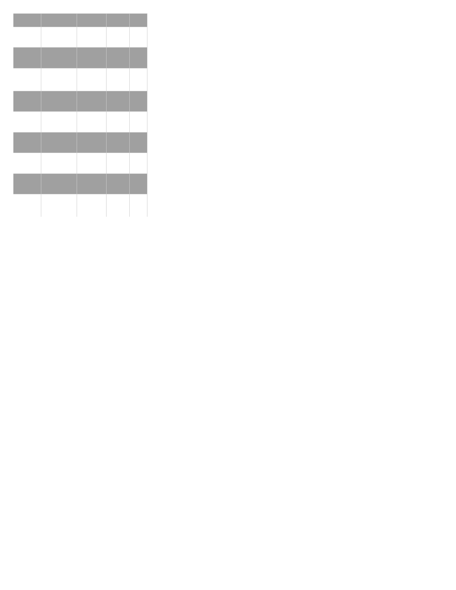